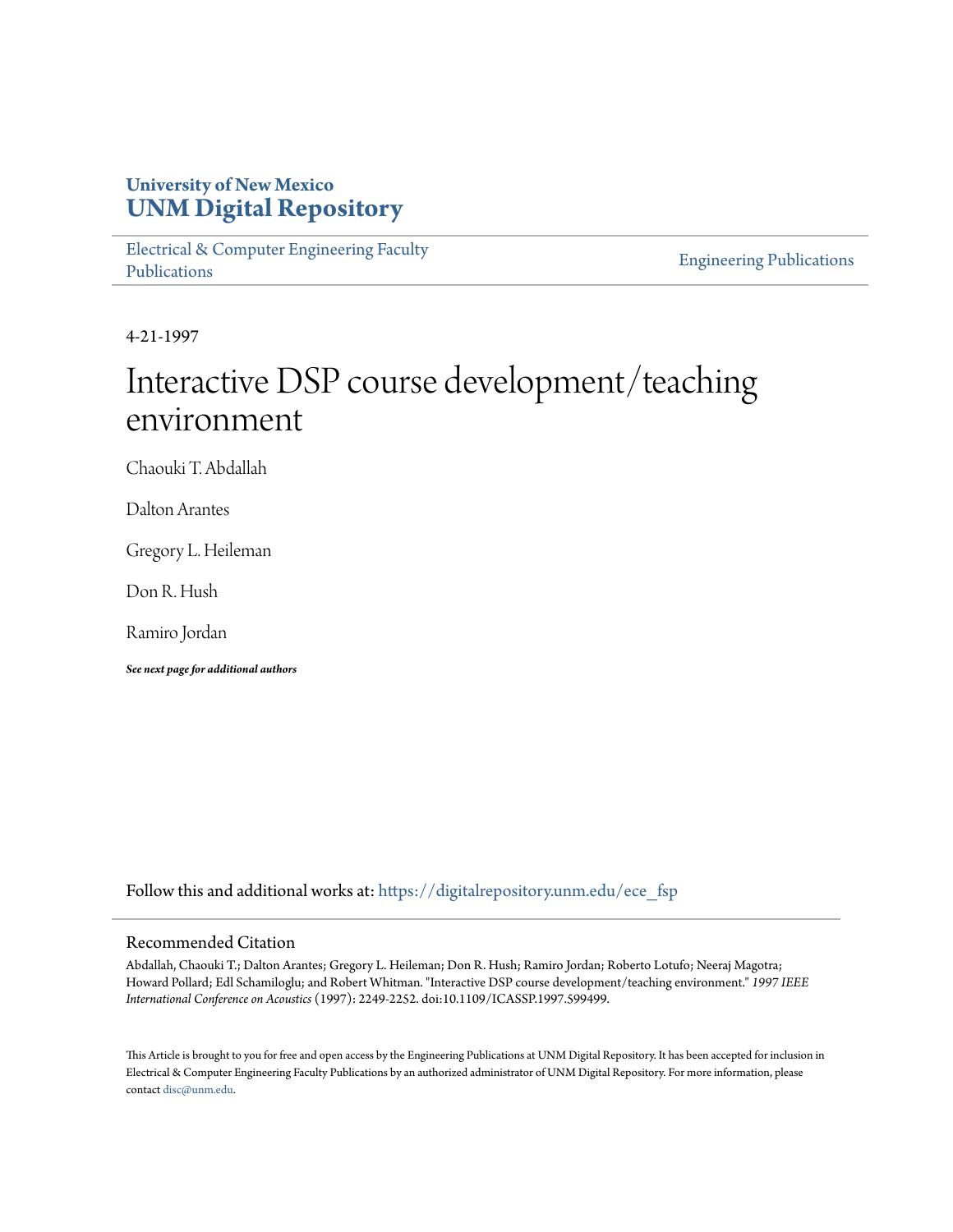# **University of New Mexico [UNM Digital Repository](https://digitalrepository.unm.edu?utm_source=digitalrepository.unm.edu%2Fece_fsp%2F116&utm_medium=PDF&utm_campaign=PDFCoverPages)**

[Electrical & Computer Engineering Faculty](https://digitalrepository.unm.edu/ece_fsp?utm_source=digitalrepository.unm.edu%2Fece_fsp%2F116&utm_medium=PDF&utm_campaign=PDFCoverPages) [Publications](https://digitalrepository.unm.edu/ece_fsp?utm_source=digitalrepository.unm.edu%2Fece_fsp%2F116&utm_medium=PDF&utm_campaign=PDFCoverPages)

[Engineering Publications](https://digitalrepository.unm.edu/eng_fsp?utm_source=digitalrepository.unm.edu%2Fece_fsp%2F116&utm_medium=PDF&utm_campaign=PDFCoverPages)

4-21-1997

# Interactive DSP course development/teaching environment

Chaouki T. Abdallah

Dalton Arantes

Gregory L. Heileman

Don R. Hush

Ramiro Jordan

*See next page for additional authors*

Follow this and additional works at: [https://digitalrepository.unm.edu/ece\\_fsp](https://digitalrepository.unm.edu/ece_fsp?utm_source=digitalrepository.unm.edu%2Fece_fsp%2F116&utm_medium=PDF&utm_campaign=PDFCoverPages)

# Recommended Citation

Abdallah, Chaouki T.; Dalton Arantes; Gregory L. Heileman; Don R. Hush; Ramiro Jordan; Roberto Lotufo; Neeraj Magotra; Howard Pollard; Edl Schamiloglu; and Robert Whitman. "Interactive DSP course development/teaching environment." *1997 IEEE International Conference on Acoustics* (1997): 2249-2252. doi:10.1109/ICASSP.1997.599499.

This Article is brought to you for free and open access by the Engineering Publications at UNM Digital Repository. It has been accepted for inclusion in Electrical & Computer Engineering Faculty Publications by an authorized administrator of UNM Digital Repository. For more information, please contact [disc@unm.edu.](mailto:disc@unm.edu)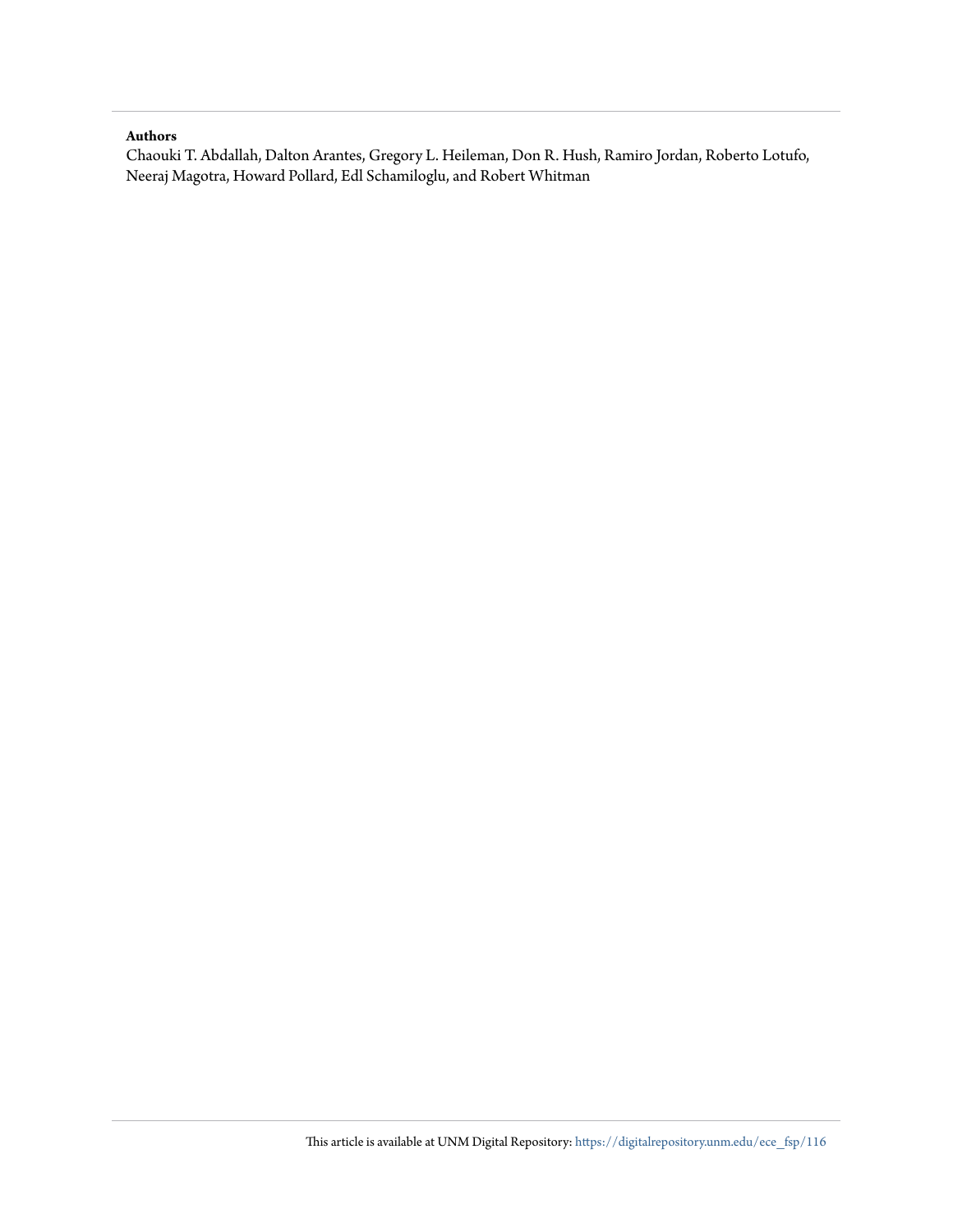## **Authors**

Chaouki T. Abdallah, Dalton Arantes, Gregory L. Heileman, Don R. Hush, Ramiro Jordan, Roberto Lotufo, Neeraj Magotra, Howard Pollard, Edl Schamiloglu, and Robert Whitman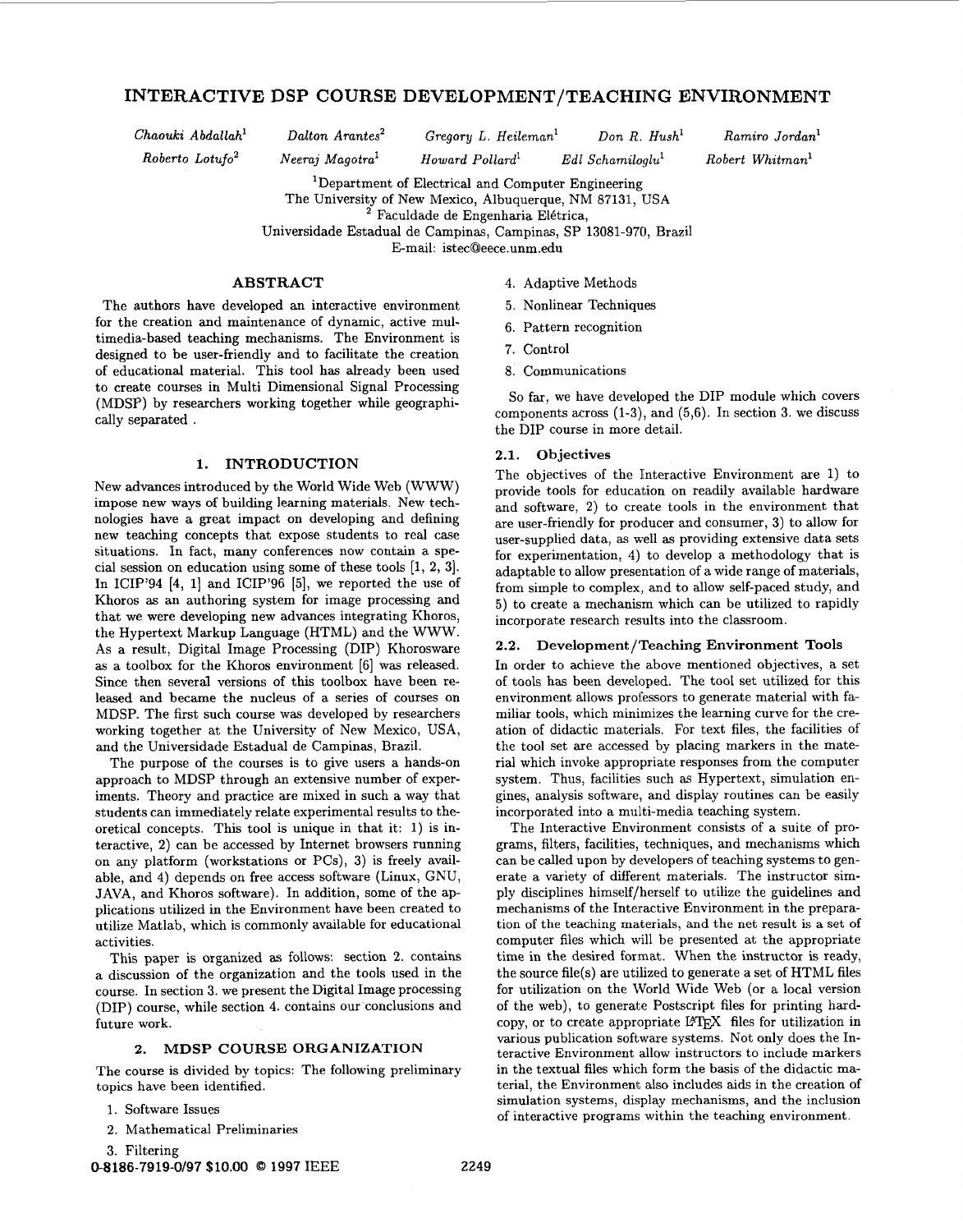# **INTERACTIVE DSP COURSE DEVELOPMENT/TEACHING ENVIRONMENT**

*Chaouki Abdallah' Dalton Arantes' Gregory L. Heileman' Don R. Hush' Ramiro Jordan'* 

 $Roberto Lotufo<sup>2</sup>$  Neeraj Magotra<sup>1</sup> Howard Pollard<sup>1</sup> Edl Schamiloqlu<sup>1</sup> Robert Whitman<sup>1</sup>

'Department of Electrical and Computer Engineering The University of New Mexico, Albuquerque, NM 87131, USA <sup>2</sup> Faculdade de Engenharia Elétrica,

Universidade Estadual de Campinas, Campinas, SP **13081-97CI,** Brazil

E-mail: [istec@eece.unm.edu](mailto:istec@eece.unm.edu)

#### ABSTRACT

The authors have developed an interactive environment for the creation and maintenance of dynamic, active multimedia-based teaching mechanisms. The Environment is designed to be user-friendly and to facilitate the creation of educational material. This tool has already been used to create courses in Multi Dimensional Signal Processing (MDSP) by researchers working together while geographically separated .

#### 1. INTRODUCTION

New advances introduced by the World Wide Web (WWW) impose new ways of building learning materials. New technologies have a great impact on developing and defining new teaching concepts that expose students to real case situations. In fact, many conferences now contain a special session on education using some of these tools **[l, 2, 31.**  In ICIP'94 [4, **11** and ICIP'96 *[5],* we reported the use of Khoros **as** an authoring system for image processing and that we were developing new advances integrating Khoros, the Hypertext Markup Language (HTML) and the WWW. As a result, Digital Image Processing (DIP) Khorosware **as** a toolbox for the Khoros environment [6] was released. Since then several versions of this toolbox have been released and became the nucleus of a series of courses on MDSP. The first such course was developed by researchers working together at the University of New Mexico, USA, and the Universidade Estadual de Campinas, Brazil.

The purpose of the courses is to give users a hands-on approach to MDSP through an extensive number of experiments. Theory and practice are mixed in such a way that students can immediately relate experimental results to theoretical concepts. This tool is unique in that it: 1) is interactive, **2)** can be accessed by Internet browsers running on any platform (workstations or PCs), **3)** is freely available, and **4)** depends on free access software (Linux, GNU, JAVA, and Khoros software). In addition, some of the applications utilized in the Environment have been created to utilize Matlab, which is commonly available for educational activities.

This paper is organized **as** follows: section **2.** contains a discussion of the organization and the tools used in the course. In section **3.** we present the Digital Image processing (DIP) course, while section **4.** contains our conclusions and future work.

#### *2.* **MDSP** COURSE ORGANIZATION

The course is divided by topics: The following preliminary topics have been identified.

- **1.** Software Issues
- **2.** Mathematical Preliminaries

**3.** Filtering

- **4.** Adaptive Methods
- *5.* Nonlinear Techniques
- 6. Pattern recognition
- **7.** Control
- 8. Communications

So far, we have developed the DIP module which covers components across **(1-3),** and **(5,6).** In section **3.** we discuss the DIP course in more detail.

#### **2.1.** Objectives

The objectives of the Ihteractive Environment are **1)** to provide tools for education on readily available hardware and software, **2)** to create tools in the environment that are user-friendly for prolducer and consumer, **3)** to allow for user-supplied data, **as** well **as** providing extensive data sets for experimentation, 4) to develop a methodology that is adaptable to allow presentation of a wide range of materials, from simple to complex, and to allow self-paced study, and *5)* to create a mechanism which can be utilized to rapidly incorporate research results into the classroom.

#### **2.2.** Development/Teaching Environment Tools

In order to achieve the above mentioned objectives, a set of tools **has** been developed. The tool set utilized for this environment allows professors to generate material with familiar tools, which minimizes the learning curve for the creation of didactic materials. For text files, the facilities of the tool set are accessed by placing markers in the material which invoke appropriate responses from the computer system. Thus, facilities such **as** Hypertext, simulation engines, analysis software, and display routines can be easily incorporated into a multi-media teaching system.

The Interactive Environment consists of a suite of programs, filters, facilities, techniques, and mechanisms which can be called upon by developers of teaching systems to generate a variety of different materials. The instructor simply disciplines himself/herself to utilize the guidelines and mechanisms of the Interactive Environment in the preparation of the teaching materials, and the net result is a set of computer files which will be presented at the appropriate time in the desired format. When the instructor is ready, the source file(s) are utilized to generate a set of HTML files for utilization on the World Wide Web (or a local version of the web), to generate Postscript files for printing hardcopy, or to create appropriate  $IATFX$  files for utilization in various publication software systems. Not only does the Interactive Environment allow instructors to include markers in the textual files which form the basis of the didactic material, the Environment also includes aids in the creation of simulation systems, display mechanisms, and the inclusion of interactive programs within the teaching environment.

**0-8186-7919-0/97 \$10.00** *0* **1997** IEEE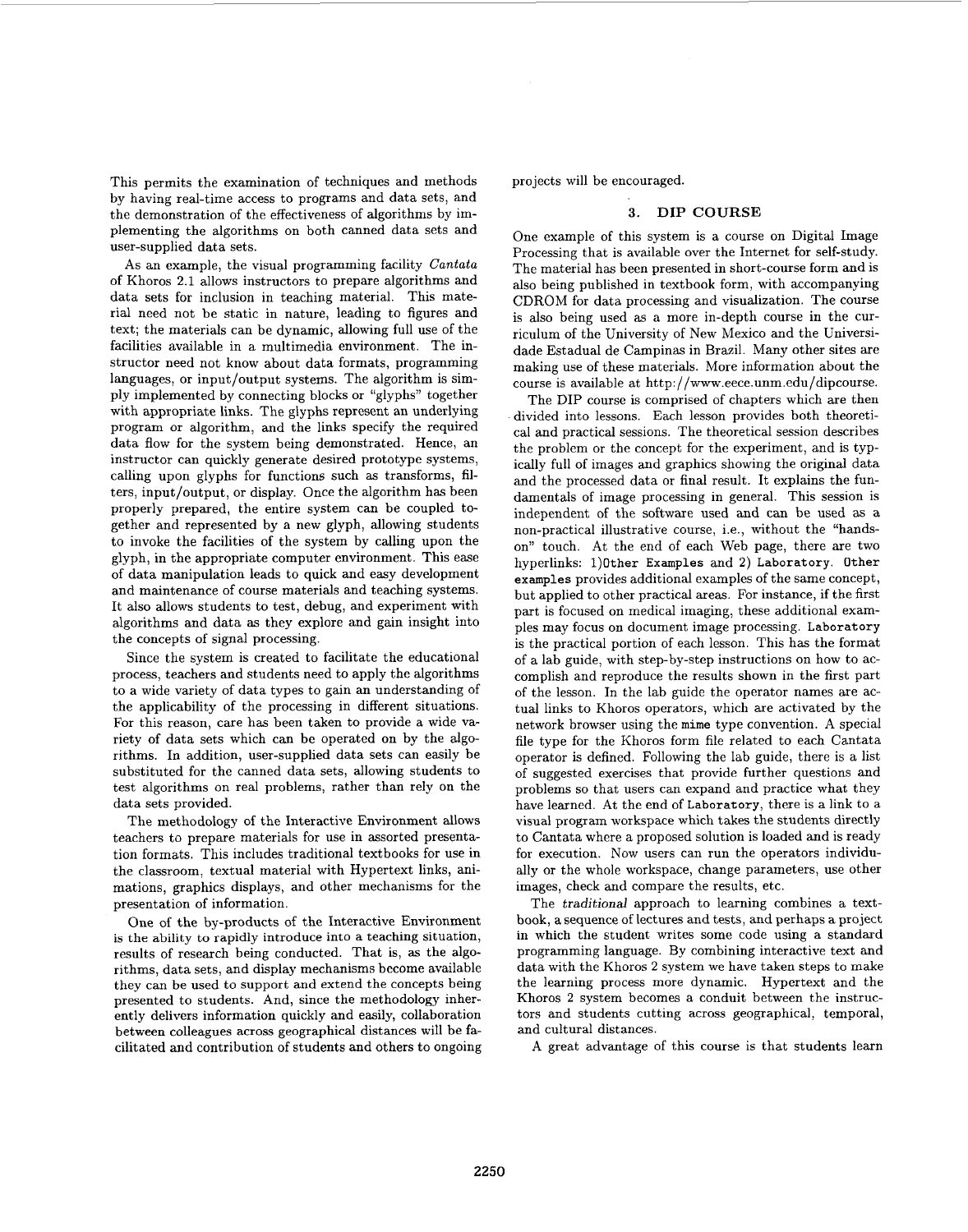This permits the examination of techniques and methods by having real-time access to programs and data sets, and the demonstration of the effectiveness of algorithms by implementing the algorithms on both canned data sets and user-supplied data sets.

As an example, the visual programming facility *Cantata*  of Khoros 2.1 allows instructors to prepare algorithms and data sets for inclusion in teaching material. This material need not be static in nature, leading to figures and text; the materials can be dynamic, allowing full use of the facilities available in a multimedia environment. The instructor need not know about data formats, programming languages, or input/output systems. The algorithm is simply implemented by connecting blocks or "glyphs" together with appropriate links. The glyphs represent an underlying program or algorithm, and the links specify the required data flow for the system being demonstrated. Hence, an instructor can quickly generate desired prototype systems, calling upon glyphs for functions such as transforms, filters, input/output, or display. Once the algorithm has been properly prepared, the entire system can be coupled together and represented by a new glyph, allowing students to invoke the facilities of the system by calling upon the glyph, in the appropriate computer environment. This ease of data manipulation leads to quick and easy development and maintenance of course materials and teaching systems. It also allows students to test, debug, and experiment with algorithms and data **as** they explore and gain insight into the concepts of signal processing.

Since the system is created to facilitate the educational process, teachers and students need to apply the algorithms to a wide variety of data types to gain an understanding of the applicability of the processing in different situations. For this reason, care has been taken to provide a wide variety of data sets which can be operated on by the algorithms. In addition, user-supplied data sets can easily be substituted for the canned data sets, allowing students to test algorithms on real problems, rather than rely on the data sets provided.

The methodology of the Interactive Environment allows teachers to prepare materials for use in assorted presentation formats. This includes traditional textbooks for use in the classroom, textual material with Hypertext links, animations, graphics displays, and other mechanisms for the presentation of information.

One of the by-products of the Interactive Environment is the ability to rapidly introduce into a teaching situation, results of research being conducted. That is, **as** the algorithms, data sets, and display mechanisms become available they can be used to support and extend the concepts being presented to students. And, since the methodology inherently delivers information quickly and easily, collaboration between colleagues across geographical distances will be facilitated and contribution of students and others to ongoing projects will be encouraged.

#### **3. DIP COURSE**

One example of this system is a course on Digital Image Processing that is available over the Internet for self-study. The material has been presented in short-course form and is also being published in textbook form, with accompanying CDROM for data processing and visualization. The course is also being used as a more in-depth course in the curriculum of the University of New Mexico and the Universidade Estadual de Campinas in Brazil. Many other sites are making use of these materials. More information about the course is available at **<http://www.eece.unm.edu/dipcourse>.** 

The DIP course is comprised of chapters which are then divided into lessons. Each lesson provides both theoretical and practical sessions. The theoretical session describes the problem or the concept for the experiment, and is typically full of images and graphics showing the original data and the processed data or final result. It explains the fundamentals of image processing in general. This session is independent of the software used and can be used **as** a non-practical illustrative course, i.e., without the "handson" touch. At the end of each Web page, there are two hyperlinks: 1)Other Examples and 2) Laboratory. Other examples provides additional examples of the same concept, but applied to other practical areas. For instance, if the first part is focused on medical imaging, these additional examples may focus on document image processing. Laboratory is the practical portion of each lesson. This has the format of a lab guide, with step-by-step instructions on how to accomplish and reproduce the results shown in the first part of the lesson. In the lab guide the operator names are actual links to Khoros operators, which are activated by the network browser using the mime type convention. A special file type for the Khoros form file related to each Cantata operator is defined. Following the lab guide, there is a list of suggested exercises that provide further questions and problems so that users can expand and practice what they have learned. At the end of Laboratory, there is a link to a visual program workspace which takes the students directly to Cantata where a proposed solution is loaded and is ready for execution. Now users can run the operators individually or the whole workspace, change parameters, use other images, check and compare the results, etc.

The traditional approach to learning combines a textbook, a sequence of lectures and tests, and perhaps a project in which the student writes some code using a standard programming language. By combining interactive text and data with the Khoros 2 system we have taken steps to make the learning process more dynamic. Hypertext and the Khoros 2 system becomes a conduit between the instructors and students cutting across geographical, temporal, and cultural distances.

**A** great advantage of this course is that students learn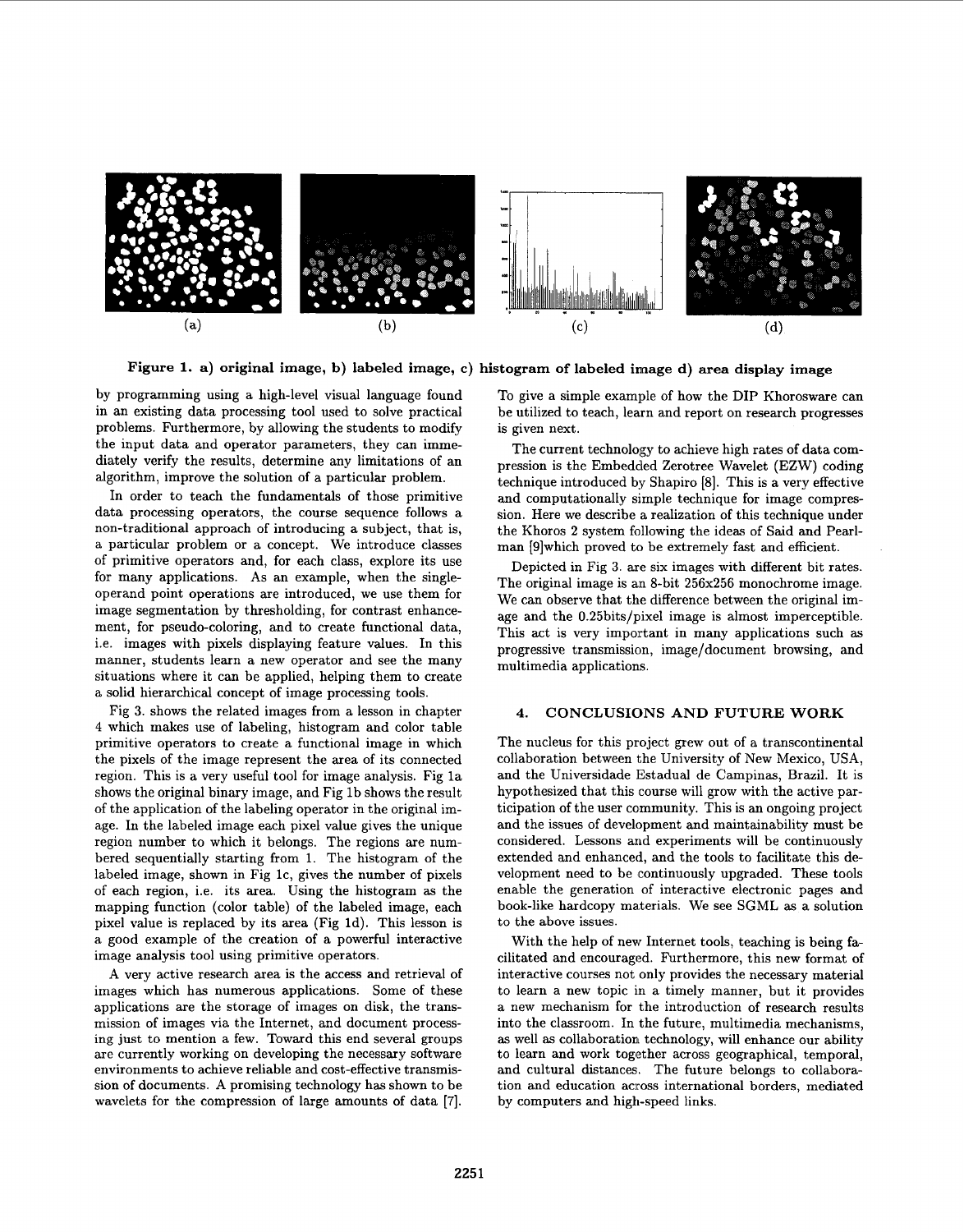

Figure 1. a) original image, b) labeled image, c) histogram of labeled image d) area display image

by programming using a high-level visual language found in an existing data processing tool used to solve practical problems. Furthermore, by allowing the students to modify the input data and operator parameters, they can immediately verify the results, determine any limitations of an algorithm, improve the solution of a particular problem.

In order to teach the fundamentals of those primitive data processing operators, the course sequence follows a non-traditional approach of introducing a subject, that is, a particular problem or a concept. We introduce classes of primitive operators and, for each class, explore its use for many applications. As an example, when the singleoperand point operations are introduced, we use them for image segmentation by thresholding, for contrast enhancement, for pseudo-coloring, and to create functional data, i.e. images with pixels displaying feature values. In this manner, students learn a new operator and see the many situations where it can be applied, helping them to create a solid hierarchical concept of image processing tools.

Fig **3.** shows the related images from a lesson in chapter **4** which makes use of labeling, histogram and color table primitive operators to create a functional image in which the pixels of the image represent the area of its connected region. This is a very useful tool for image analysis. Fig la shows the original binary image, and Fig lb shows the result of the application of the labeling operator in the original image. In the labeled image each pixel value gives the unique region number to which it belongs. The regions are numbered sequentially starting from 1. The histogram of the labeled image, shown in Fig IC, gives the number of pixels of each region, i.e. its area. Using the histogram **as** the mapping function (color table) of the labeled image, each pixel value is replaced by its area (Fig Id). This lesson is a good example of the creation of a powerful interactive image analysis tool using primitive operators.

A very active research area is the access and retrieval of images which has numerous applications. Some of these applications are the storage of images on disk, the transmission of images via the Internet, and document processing just to mention a few. Toward this end several groups are currently working on developing the necessary software environments to achieve reliable and cost-effective transmission of documents. A promising technology has shown to be wavelets for the compression of large amounts of data [7].

To give a simple example of how the DIP Khorosware can be utilized to teach, learn and report on research progresses is given next.

The current technology to achieve high rates of data compression is the Embedded Zerotree Wavelet (EZW) coding technique introduced by Shapiro [8]. This is a very effective and computationally simple technique for image compression. Here we describe a realization of this technique under the Khoros 2 system following the ideas of Said and Pearlman [9]which proved to be extremely fast and efficient.

Depicted in Fig **3.** are six images with different bit rates. The original image is an 8-bit 256x256 monochrome image. We can observe that the difference between the original image and the 0.25bits/pixel image is almost imperceptible. This act is very important in many applications such as progressive transmission, image/document browsing, and multimedia applications.

## **4. CONCLUSIONS AND FUTURE WORK**

The nucleus for this project grew out of a transcontinental collaboration between the University of New Mexico, USA, and the Universidade Estadual de Campinas, Brazil. It is hypothesized that this course will grow with the active participation of the user community. This is an ongoing project and the issues of development and maintainability must be considered. Lessons and experiments will be continuously extended and enhanced, and the tools to facilitate this development need to be continuously upgraded. These tools enable the generation of interactive electronic pages and book-like hardcopy makerials. We see SGML **as** a solution to the above issues.

With the help of new Internet tools, teaching is being facilitated and encouraged. Furthermore, this new format of interactive courses not only provides the necessary material to learn a new topic in a timely manner, but it provides a new mechanism for the introduction of research results into the classroom. In the future, multimedia mechanisms, **as** well **as** collaboration technology, will enhance our ability to learn and work together across geographical, temporal, and cultural distances. The future belongs to collaboration and education across international borders, mediated by computers and high-speed links.